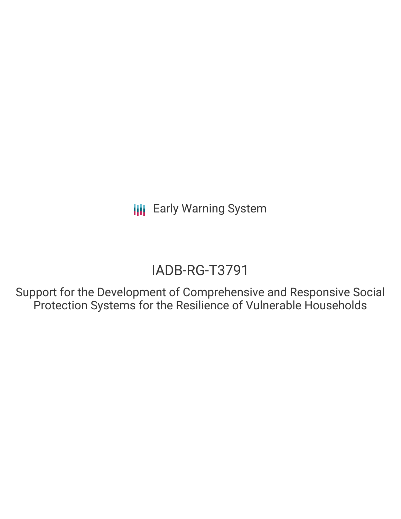**III** Early Warning System

# IADB-RG-T3791

Support for the Development of Comprehensive and Responsive Social Protection Systems for the Resilience of Vulnerable Households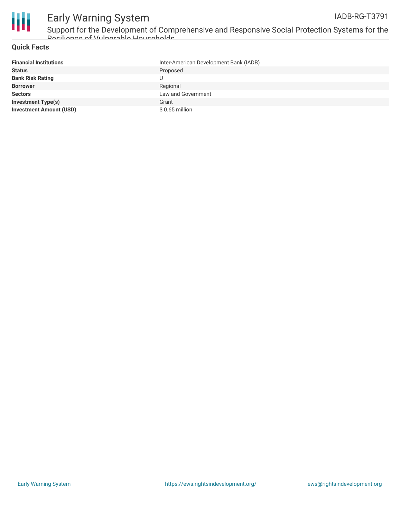

## Early Warning System

Support for the Development of Comprehensive and Responsive Social Protection Systems for the Resilience of Vulnerable Households

### **Quick Facts**

| <b>Financial Institutions</b>  | Inter-American Development Bank (IADB) |
|--------------------------------|----------------------------------------|
| <b>Status</b>                  | Proposed                               |
| <b>Bank Risk Rating</b>        |                                        |
| <b>Borrower</b>                | Regional                               |
| <b>Sectors</b>                 | Law and Government                     |
| <b>Investment Type(s)</b>      | Grant                                  |
| <b>Investment Amount (USD)</b> | $$0.65$ million                        |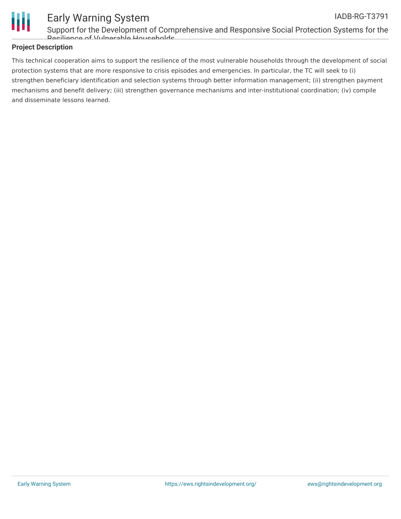

### Early Warning System

Support for the Development of Comprehensive and Responsive Social Protection Systems for the Resilience of Vulnerable Households

### **Project Description**

This technical cooperation aims to support the resilience of the most vulnerable households through the development of social protection systems that are more responsive to crisis episodes and emergencies. In particular, the TC will seek to (i) strengthen beneficiary identification and selection systems through better information management; (ii) strengthen payment mechanisms and benefit delivery; (iii) strengthen governance mechanisms and inter-institutional coordination; (iv) compile and disseminate lessons learned.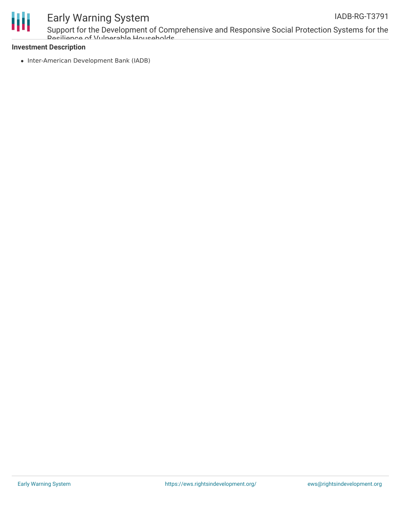



### Early Warning System

Support for the Development of Comprehensive and Responsive Social Protection Systems for the Resilience of Vulnerable Households

### **Investment Description**

• Inter-American Development Bank (IADB)